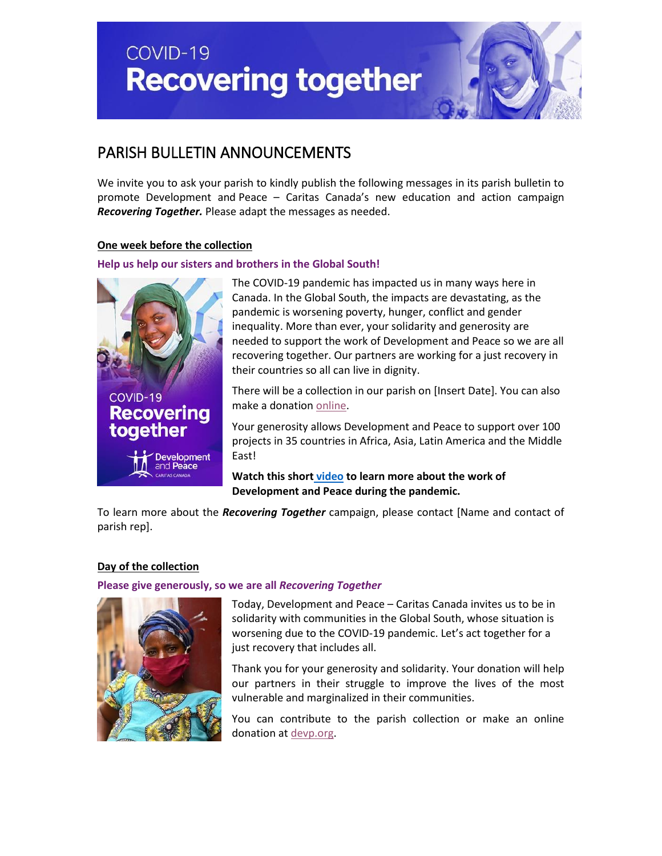COVID-19 **Recovering together** 



# PARISH BULLETIN ANNOUNCEMENTS

We invite you to ask your parish to kindly publish the following messages in its parish bulletin to promote Development and Peace – Caritas Canada's new education and action campaign *Recovering Together.* Please adapt the messages as needed.

# **One week before the collection**

# **Help us help our sisters and brothers in the Global South!**



The COVID-19 pandemic has impacted us in many ways here in Canada. In the Global South, the impacts are devastating, as the pandemic is worsening poverty, hunger, conflict and gender inequality. More than ever, your solidarity and generosity are needed to support the work of Development and Peace so we are all recovering together. Our partners are working for a just recovery in their countries so all can live in dignity.

There will be a collection in our parish on [Insert Date]. You can also make a donation [online.](https://www.devp.org/en/civicrm/contribute/transact?reset=1&id=30)

Your generosity allows Development and Peace to support over 100 projects in 35 countries in Africa, Asia, Latin America and the Middle East!

**Watch this short [video](https://www.youtube.com/watch?v=A5hDf6gI4sA) to learn more about the work of Development and Peace during the pandemic.**

To learn more about the *Recovering Together* campaign, please contact [Name and contact of parish rep].

## **Day of the collection**

**Please give generously, so we are all** *Recovering Together*



Today, Development and Peace – Caritas Canada invites us to be in solidarity with communities in the Global South, whose situation is worsening due to the COVID-19 pandemic. Let's act together for a just recovery that includes all.

Thank you for your generosity and solidarity. Your donation will help our partners in their struggle to improve the lives of the most vulnerable and marginalized in their communities.

You can contribute to the parish collection or make an online donation at [devp.org.](http://www.devp.org/)